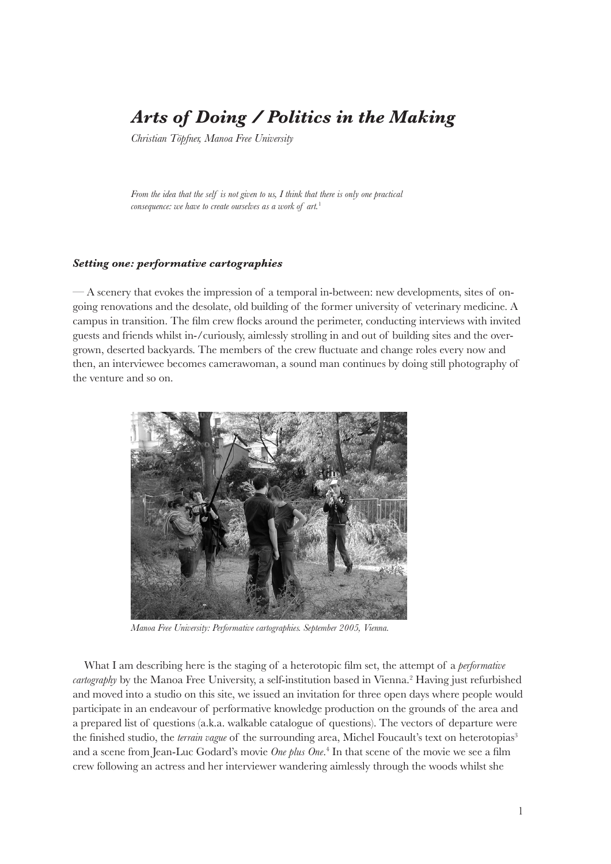## *Arts of Doing / Politics in the Making*

*Christian Töpfner, Manoa Free University*

*From the idea that the self is not given to us, I think that there is only one practical consequence: we have to create ourselves as a work of art.*<sup>1</sup>

## *Setting one: performative cartographies*

— A scenery that evokes the impression of a temporal in-between: new developments, sites of ongoing renovations and the desolate, old building of the former university of veterinary medicine. A campus in transition. The film crew flocks around the perimeter, conducting interviews with invited guests and friends whilst in-/curiously, aimlessly strolling in and out of building sites and the overgrown, deserted backyards. The members of the crew fluctuate and change roles every now and then, an interviewee becomes camerawoman, a sound man continues by doing still photography of the venture and so on.



*Manoa Free University: Performative cartographies. September 2005, Vienna.*

What I am describing here is the staging of a heterotopic film set, the attempt of a *performative*  cartography by the Manoa Free University, a self-institution based in Vienna.<sup>2</sup> Having just refurbished and moved into a studio on this site, we issued an invitation for three open days where people would participate in an endeavour of performative knowledge production on the grounds of the area and a prepared list of questions (a.k.a. walkable catalogue of questions). The vectors of departure were the finished studio, the *terrain vague* of the surrounding area, Michel Foucault's text on heterotopias<sup>3</sup> and a scene from Jean-Luc Godard's movie *One plus One*. 4 In that scene of the movie we see a film crew following an actress and her interviewer wandering aimlessly through the woods whilst she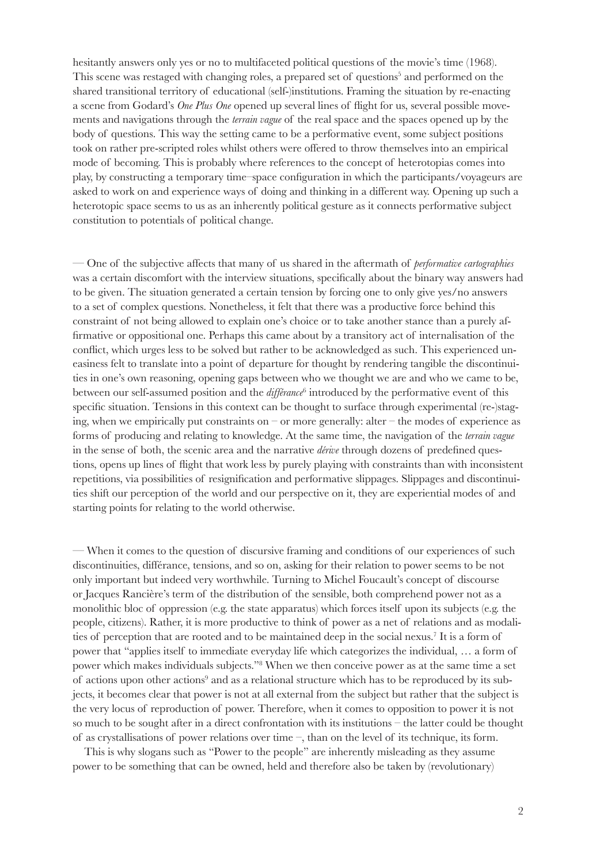hesitantly answers only yes or no to multifaceted political questions of the movie's time (1968). This scene was restaged with changing roles, a prepared set of questions<sup>5</sup> and performed on the shared transitional territory of educational (self-)institutions. Framing the situation by re-enacting a scene from Godard's *One Plus One* opened up several lines of flight for us, several possible movements and navigations through the *terrain vague* of the real space and the spaces opened up by the body of questions. This way the setting came to be a performative event, some subject positions took on rather pre-scripted roles whilst others were offered to throw themselves into an empirical mode of becoming. This is probably where references to the concept of heterotopias comes into play, by constructing a temporary time–space configuration in which the participants/voyageurs are asked to work on and experience ways of doing and thinking in a different way. Opening up such a heterotopic space seems to us as an inherently political gesture as it connects performative subject constitution to potentials of political change.

— One of the subjective affects that many of us shared in the aftermath of *performative cartographies* was a certain discomfort with the interview situations, specifically about the binary way answers had to be given. The situation generated a certain tension by forcing one to only give yes/no answers to a set of complex questions. Nonetheless, it felt that there was a productive force behind this constraint of not being allowed to explain one's choice or to take another stance than a purely affirmative or oppositional one. Perhaps this came about by a transitory act of internalisation of the conflict, which urges less to be solved but rather to be acknowledged as such. This experienced uneasiness felt to translate into a point of departure for thought by rendering tangible the discontinuities in one's own reasoning, opening gaps between who we thought we are and who we came to be, between our self-assumed position and the *différance*<sup>6</sup> introduced by the performative event of this specific situation. Tensions in this context can be thought to surface through experimental (re-)staging, when we empirically put constraints on – or more generally: alter – the modes of experience as forms of producing and relating to knowledge. At the same time, the navigation of the *terrain vague* in the sense of both, the scenic area and the narrative *dérive* through dozens of predefined questions, opens up lines of flight that work less by purely playing with constraints than with inconsistent repetitions, via possibilities of resignification and performative slippages. Slippages and discontinuities shift our perception of the world and our perspective on it, they are experiential modes of and starting points for relating to the world otherwise.

— When it comes to the question of discursive framing and conditions of our experiences of such discontinuities, différance, tensions, and so on, asking for their relation to power seems to be not only important but indeed very worthwhile. Turning to Michel Foucault's concept of discourse or Jacques Rancière's term of the distribution of the sensible, both comprehend power not as a monolithic bloc of oppression (e.g. the state apparatus) which forces itself upon its subjects (e.g. the people, citizens). Rather, it is more productive to think of power as a net of relations and as modalities of perception that are rooted and to be maintained deep in the social nexus.<sup>7</sup> It is a form of power that "applies itself to immediate everyday life which categorizes the individual, … a form of power which makes individuals subjects."8 When we then conceive power as at the same time a set of actions upon other actions<sup>9</sup> and as a relational structure which has to be reproduced by its subjects, it becomes clear that power is not at all external from the subject but rather that the subject is the very locus of reproduction of power. Therefore, when it comes to opposition to power it is not so much to be sought after in a direct confrontation with its institutions – the latter could be thought of as crystallisations of power relations over time –, than on the level of its technique, its form.

This is why slogans such as "Power to the people" are inherently misleading as they assume power to be something that can be owned, held and therefore also be taken by (revolutionary)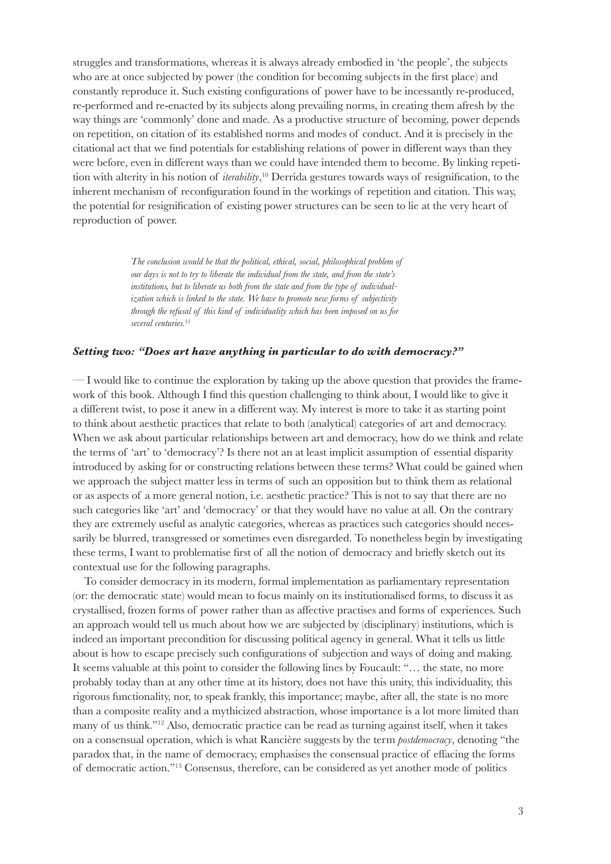struggles and transformations, whereas it is always already embodied in 'the people', the subjects who are at once subjected by power (the condition for becoming subjects in the first place) and constantly reproduce it. Such existing configurations of power have to be incessantly re-produced, re-performed and re-enacted by its subjects along prevailing norms, in creating them afresh by the way things are 'commonly' done and made. As a productive structure of becoming, power depends on repetition, on citation of its established norms and modes of conduct. And it is precisely in the citational act that we find potentials for establishing relations of power in different ways than they were before, even in different ways than we could have intended them to become. By linking repetition with alterity in his notion of *iterability*, <sup>10</sup> Derrida gestures towards ways of resignification, to the inherent mechanism of reconfiguration found in the workings of repetition and citation. This way, the potential for resignification of existing power structures can be seen to lie at the very heart of reproduction of power.

> *The conclusion would be that the political, ethical, social, philosophical problem of our days is not to try to liberate the individual from the state, and from the state's institutions, but to liberate us both from the state and from the type of individualization which is linked to the state. We have to promote new forms of subjectivity through the refusal of this kind of individuality which has been imposed on us for several centuries.*<sup>11</sup>

## *Setting two: "Does art have anything in particular to do with democracy?"*

— I would like to continue the exploration by taking up the above question that provides the framework of this book. Although I find this question challenging to think about, I would like to give it a different twist, to pose it anew in a different way. My interest is more to take it as starting point to think about aesthetic practices that relate to both (analytical) categories of art and democracy. When we ask about particular relationships between art and democracy, how do we think and relate the terms of 'art' to 'democracy'? Is there not an at least implicit assumption of essential disparity introduced by asking for or constructing relations between these terms? What could be gained when we approach the subject matter less in terms of such an opposition but to think them as relational or as aspects of a more general notion, i.e. aesthetic practice? This is not to say that there are no such categories like 'art' and 'democracy' or that they would have no value at all. On the contrary they are extremely useful as analytic categories, whereas as practices such categories should necessarily be blurred, transgressed or sometimes even disregarded. To nonetheless begin by investigating these terms, I want to problematise first of all the notion of democracy and briefly sketch out its contextual use for the following paragraphs.

To consider democracy in its modern, formal implementation as parliamentary representation (or: the democratic state) would mean to focus mainly on its institutionalised forms, to discuss it as crystallised, frozen forms of power rather than as affective practises and forms of experiences. Such an approach would tell us much about how we are subjected by (disciplinary) institutions, which is indeed an important precondition for discussing political agency in general. What it tells us little about is how to escape precisely such configurations of subjection and ways of doing and making. It seems valuable at this point to consider the following lines by Foucault: "… the state, no more probably today than at any other time at its history, does not have this unity, this individuality, this rigorous functionality, nor, to speak frankly, this importance; maybe, after all, the state is no more than a composite reality and a mythicized abstraction, whose importance is a lot more limited than many of us think."12 Also, democratic practice can be read as turning against itself, when it takes on a consensual operation, which is what Rancière suggests by the term *postdemocracy*, denoting "the paradox that, in the name of democracy, emphasises the consensual practice of effacing the forms of democratic action."13 Consensus, therefore, can be considered as yet another mode of politics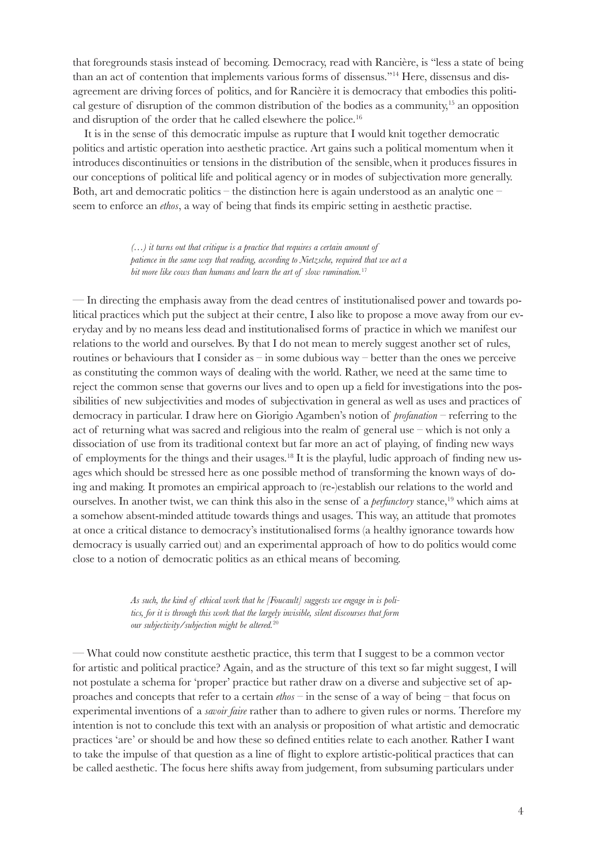that foregrounds stasis instead of becoming. Democracy, read with Rancière, is "less a state of being than an act of contention that implements various forms of dissensus."14 Here, dissensus and disagreement are driving forces of politics, and for Rancière it is democracy that embodies this political gesture of disruption of the common distribution of the bodies as a community,<sup>15</sup> an opposition and disruption of the order that he called elsewhere the police.16

It is in the sense of this democratic impulse as rupture that I would knit together democratic politics and artistic operation into aesthetic practice. Art gains such a political momentum when it introduces discontinuities or tensions in the distribution of the sensible,when it produces fissures in our conceptions of political life and political agency or in modes of subjectivation more generally. Both, art and democratic politics – the distinction here is again understood as an analytic one – seem to enforce an *ethos*, a way of being that finds its empiric setting in aesthetic practise.

> *(…) it turns out that critique is a practice that requires a certain amount of patience in the same way that reading, according to Nietzsche, required that we act a bit more like cows than humans and learn the art of slow rumination.*<sup>17</sup>

— In directing the emphasis away from the dead centres of institutionalised power and towards political practices which put the subject at their centre, I also like to propose a move away from our everyday and by no means less dead and institutionalised forms of practice in which we manifest our relations to the world and ourselves. By that I do not mean to merely suggest another set of rules, routines or behaviours that I consider as – in some dubious way – better than the ones we perceive as constituting the common ways of dealing with the world. Rather, we need at the same time to reject the common sense that governs our lives and to open up a field for investigations into the possibilities of new subjectivities and modes of subjectivation in general as well as uses and practices of democracy in particular. I draw here on Giorigio Agamben's notion of *profanation* – referring to the act of returning what was sacred and religious into the realm of general use – which is not only a dissociation of use from its traditional context but far more an act of playing, of finding new ways of employments for the things and their usages.18 It is the playful, ludic approach of finding new usages which should be stressed here as one possible method of transforming the known ways of doing and making. It promotes an empirical approach to (re-)establish our relations to the world and ourselves. In another twist, we can think this also in the sense of a *perfunctory* stance,<sup>19</sup> which aims at a somehow absent-minded attitude towards things and usages. This way, an attitude that promotes at once a critical distance to democracy's institutionalised forms (a healthy ignorance towards how democracy is usually carried out) and an experimental approach of how to do politics would come close to a notion of democratic politics as an ethical means of becoming.

> *As such, the kind of ethical work that he [Foucault] suggests we engage in is politics, for it is through this work that the largely invisible, silent discourses that form our subjectivity/subjection might be altered.*<sup>20</sup>

— What could now constitute aesthetic practice, this term that I suggest to be a common vector for artistic and political practice? Again, and as the structure of this text so far might suggest, I will not postulate a schema for 'proper' practice but rather draw on a diverse and subjective set of approaches and concepts that refer to a certain *ethos* – in the sense of a way of being – that focus on experimental inventions of a *savoir faire* rather than to adhere to given rules or norms. Therefore my intention is not to conclude this text with an analysis or proposition of what artistic and democratic practices 'are' or should be and how these so defined entities relate to each another. Rather I want to take the impulse of that question as a line of flight to explore artistic-political practices that can be called aesthetic. The focus here shifts away from judgement, from subsuming particulars under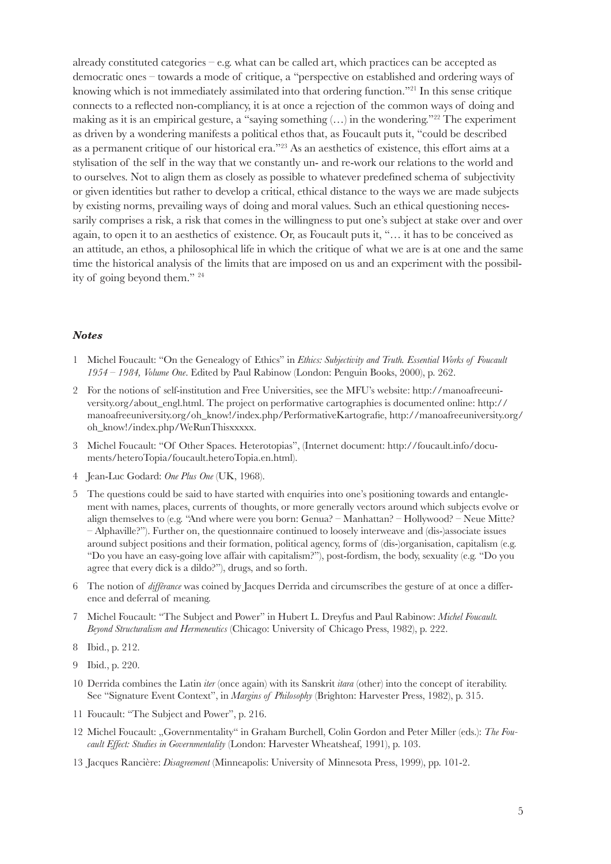already constituted categories – e.g. what can be called art, which practices can be accepted as democratic ones – towards a mode of critique, a "perspective on established and ordering ways of knowing which is not immediately assimilated into that ordering function."21 In this sense critique connects to a reflected non-compliancy, it is at once a rejection of the common ways of doing and making as it is an empirical gesture, a "saying something  $(...)$  in the wondering."<sup>22</sup> The experiment as driven by a wondering manifests a political ethos that, as Foucault puts it, "could be described as a permanent critique of our historical era."23 As an aesthetics of existence, this effort aims at a stylisation of the self in the way that we constantly un- and re-work our relations to the world and to ourselves. Not to align them as closely as possible to whatever predefined schema of subjectivity or given identities but rather to develop a critical, ethical distance to the ways we are made subjects by existing norms, prevailing ways of doing and moral values. Such an ethical questioning necessarily comprises a risk, a risk that comes in the willingness to put one's subject at stake over and over again, to open it to an aesthetics of existence. Or, as Foucault puts it, "… it has to be conceived as an attitude, an ethos, a philosophical life in which the critique of what we are is at one and the same time the historical analysis of the limits that are imposed on us and an experiment with the possibility of going beyond them." 24

## *Notes*

- 1 Michel Foucault: "On the Genealogy of Ethics" in *Ethics: Subjectivity and Truth. Essential Works of Foucault 1954 – 1984, Volume One*. Edited by Paul Rabinow (London: Penguin Books, 2000), p. 262.
- 2 For the notions of self-institution and Free Universities, see the MFU's website: http://manoafreeuniversity.org/about\_engl.html. The project on performative cartographies is documented online: http:// manoafreeuniversity.org/oh\_know!/index.php/PerformativeKartografie, http://manoafreeuniversity.org/ oh\_know!/index.php/WeRunThisxxxxx.
- 3 Michel Foucault: "Of Other Spaces. Heterotopias", (Internet document: http://foucault.info/documents/heteroTopia/foucault.heteroTopia.en.html).
- 4 Jean-Luc Godard: *One Plus One* (UK, 1968).
- 5 The questions could be said to have started with enquiries into one's positioning towards and entanglement with names, places, currents of thoughts, or more generally vectors around which subjects evolve or align themselves to (e.g. "And where were you born: Genua? – Manhattan? – Hollywood? – Neue Mitte? – Alphaville?"). Further on, the questionnaire continued to loosely interweave and (dis-)associate issues around subject positions and their formation, political agency, forms of (dis-)organisation, capitalism (e.g. "Do you have an easy-going love affair with capitalism?"), post-fordism, the body, sexuality (e.g. "Do you agree that every dick is a dildo?"), drugs, and so forth.
- 6 The notion of *différance* was coined by Jacques Derrida and circumscribes the gesture of at once a difference and deferral of meaning.
- 7 Michel Foucault: "The Subject and Power" in Hubert L. Dreyfus and Paul Rabinow: *Michel Foucault. Beyond Structuralism and Hermeneutics* (Chicago: University of Chicago Press, 1982), p. 222.
- 8 Ibid., p. 212.
- 9 Ibid., p. 220.
- 10 Derrida combines the Latin *iter* (once again) with its Sanskrit *itara* (other) into the concept of iterability. See "Signature Event Context", in *Margins of Philosophy* (Brighton: Harvester Press, 1982), p. 315.
- 11 Foucault: "The Subject and Power", p. 216.
- 12 Michel Foucault: "Governmentality" in Graham Burchell, Colin Gordon and Peter Miller (eds.): *The Foucault Effect: Studies in Governmentality* (London: Harvester Wheatsheaf, 1991), p. 103.
- 13 Jacques Rancière: *Disagreement* (Minneapolis: University of Minnesota Press, 1999), pp. 101-2.